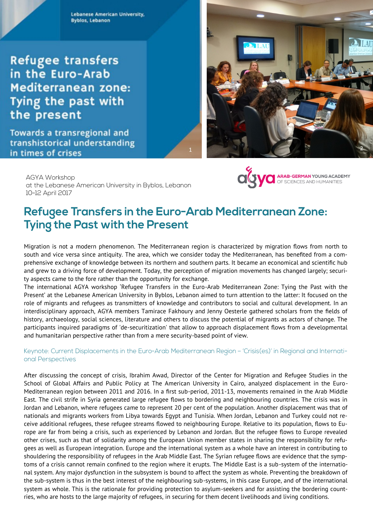**Lebanese American University, Byblos, Lebanon** 

**Refugee transfers** in the Euro-Arab **Mediterranean zone:** Tying the past with the present

**Towards a transregional and** transhistorical understanding in times of crises



**OLY VO ARAB-GERMAN YOUNG ACADEMY** 

**AGYA Workshop** at the Lebanese American University in Byblos, Lebanon 10-12 April 2017

# Refugee Transfers in the Euro-Arab Mediterranean Zone: **Tying the Past with the Present**

Migration is not a modern phenomenon. The Mediterranean region is characterized by migration flows from north to south and vice versa since antiquity. The area, which we consider today the Mediterranean, has benefited from a comprehensive exchange of knowledge between its northern and southern parts. It became an economical and scientific hub and grew to a driving force of development. Today, the perception of migration movements has changed largely; security aspects came to the fore rather than the opportunity for exchange.

The international AGYA workshop 'Refugee Transfers in the Euro-Arab Mediterranean Zone: Tying the Past with the Present' at the Lebanese American University in Byblos, Lebanon aimed to turn attention to the latter: It focused on the role of migrants and refugees as transmitters of knowledge and contributors to social and cultural development. In an interdisciplinary approach, AGYA members Tamirace Fakhoury and Jenny Oesterle gathered scholars from the fields of history, archaeology, social sciences, literature and others to discuss the potential of migrants as actors of change. The participants inquired paradigms of 'de-securitization' that allow to approach displacement flows from a developmental and humanitarian perspective rather than from a mere security-based point of view.

#### Keynote: Current Displacements in the Euro-Arab Mediterranean Region - 'Crisis(es)' in Regional and International Perspectives

After discussing the concept of crisis, Ibrahim Awad, Director of the Center for Migration and Refugee Studies in the School of Global Affairs and Public Policy at The American University in Cairo, analyzed displacement in the Euro-Mediterranean region between 2011 and 2016. In a first sub-period, 2011-13, movements remained in the Arab Middle East. The civil strife in Syria generated large refugee flows to bordering and neighbouring countries. The crisis was in Jordan and Lebanon, where refugees came to represent 20 per cent of the population. Another displacement was that of nationals and migrants workers from Libya towards Egypt and Tunisia. When Jordan, Lebanon and Turkey could not receive additional refugees, these refugee streams flowed to neighbouring Europe. Relative to its population, flows to Europe are far from being a crisis, such as experienced by Lebanon and Jordan. But the refugee flows to Europe revealed other crises, such as that of solidarity among the European Union member states in sharing the responsibility for refugees as well as European integration. Europe and the international system as a whole have an interest in contributing to shouldering the responsibility of refugees in the Arab Middle East. The Syrian refugee flows are evidence that the symptoms of a crisis cannot remain confined to the region where it erupts. The Middle East is a sub-system of the international system. Any major dysfunction in the subsystem is bound to affect the system as whole. Preventing the breakdown of the sub-system is thus in the best interest of the neighbouring sub-systems, in this case Europe, and of the international system as whole. This is the rationale for providing protection to asylum-seekers and for assisting the bordering countries, who are hosts to the large majority of refugees, in securing for them decent livelihoods and living conditions.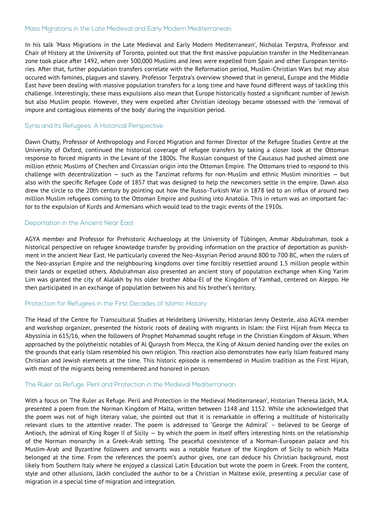## Mass Migrations in the Late Medieval and Early Modern Mediterranean

In his talk 'Mass Migrations in the Late Medieval and Early Modern Mediterranean', Nicholas Terpstra, Professor and Chair of History at the University of Toronto, pointed out that the first massive population transfer in the Mediterranean zone took place after 1492, when over 500,000 Muslims and Jews were expelled from Spain and other European territories. After that, further population transfers correlate with the Reformation period, Muslim-Christian Wars but may also occured with famines, plagues and slavery. Professor Terpstra's overview showed that in general, Europe and the Middle East have been dealing with massive population transfers for a long time and have found different ways of tackling this challenge. Interestingly, these mass expulsions also mean that Europe historically hosted a significant number of Jewish but also Muslim people. However, they were expelled after Christian ideology became obsessed with the 'removal of impure and contagious elements of the body' during the inquisition period.

## Syria and Its Refugees: A Historical Perspective

Dawn Chatty, Professor of Anthropology and Forced Migration and former Director of the Refugee Studies Centre at the University of Oxford, continued the historical coverage of refugee transfers by taking a closer look at the Ottoman response to forced migrants in the Levant of the 1800s. The Russian conquest of the Caucasus had pushed almost one million ethnic Muslims of Chechen and Circassian origin into the Ottoman Empire. The Ottomans tried to respond to this challenge with decentralization — such as the Tanzimat reforms for non-Muslim and ethnic Muslim minorities — but also with the specific Refugee Code of 1857 that was designed to help the newcomers settle in the empire. Dawn also drew the circle to the 20th century by pointing out how the Russo-Turkish War in 1878 led to an influx of around two million Muslim refugees coming to the Ottoman Empire and pushing into Anatolia. This in return was an important factor to the expulsion of Kurds and Armenians which would lead to the tragic events of the 1910s.

#### Deportation in the Ancient Near East

AGYA member and Professor for Prehistoric Archaeology at the University of Tübingen, Ammar Abdulrahman, took a historical perspective on refugee knowledge transfer by providing information on the practice of deportation as punishment in the ancient Near East. He particularly covered the Neo-Assyrian Period around 800 to 700 BC, when the rulers of the Neo-assyrian Empire and the neighbouring kingdoms over time forcibly resettled around 1.5 million people within their lands or expelled others. Abdulrahman also presented an ancient story of population exchange when King Yarim Lim was granted the city of Alalakh by his older brother Abba-El of the Kingdom of Yamhad, centered on Aleppo. He then participated in an exchange of population between his and his brother's territory.

# Protection for Refugees in the First Decades of Islamic History

The Head of the Centre for Transcultural Studies at Heidelberg University, Historian Jenny Oesterle, also AGYA member and workshop organizer, presented the historic roots of dealing with migrants in Islam: the First Hijrah from Mecca to Abyssinia in 615/16, when the followers of Prophet Mohammad sought refuge in the Christian Kingdom of Aksum. When approached by the polytheistic notables of Al Quraysh from Mecca, the King of Aksum denied handing over the exiles on the grounds that early Islam resembled his own religion. This reaction also demonstrates how early Islam featured many Christian and Jewish elements at the time. This historic episode is remembered in Muslim tradition as the First Hijrah, with most of the migrants being remembered and honored in person.

# The Ruler as Refuge. Peril and Protection in the Medieval Mediterranean

With a focus on 'The Ruler as Refuge. Peril and Protection in the Medieval Mediterranean', Historian Theresa Jäckh, M.A. presented a poem from the Norman Kingdom of Malta, written between 1148 and 1152. While she acknowledged that the poem was not of high literary value, she pointed out that it is remarkable in offering a multitude of historically relevant clues to the attentive reader. The poem is addressed to 'George the Admiral' – believed to be George of Antioch, the admiral of King Roger II of Sicily — by which the poem in itself offers interesting hints on the relationship of the Norman monarchy in a Greek-Arab setting. The peaceful coexistence of a Norman-European palace and his Muslim-Arab and Byzantine followers and servants was a notable feature of the Kingdom of Sicily to which Malta belonged at the time. From the references the poem's author gives, one can deduce his Christian background, most likely from Southern Italy where he enjoyed a classical Latin Education but wrote the poem in Greek. From the content, style and other allusions, Jäckh concluded the author to be a Christian in Maltese exile, presenting a peculiar case of migration in a special time of migration and integration.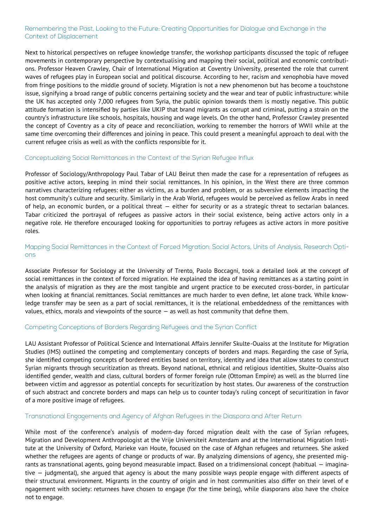## Remembering the Past, Looking to the Future: Creating Opportunities for Dialogue and Exchange in the **Context of Displacement**

Next to historical perspectives on refugee knowledge transfer, the workshop participants discussed the topic of refugee movements in contemporary perspective by contextualising and mapping their social, political and economic contributions. Professor Heaven Crawley, Chair of International Migration at Coventry University, presented the role that current waves of refugees play in European social and political discourse. According to her, racism and xenophobia have moved from fringe positions to the middle ground of society. Migration is not a new phenomenon but has become a touchstone issue, signifying a broad range of public concerns pertaining society and the wear and tear of public infrastructure: while the UK has accepted only 7,000 refugees from Syria, the public opinion towards them is mostly negative. This public attitude formation is intensified by parties like UKIP that brand migrants as corrupt and criminal, putting a strain on the country's infrastructure like schools, hospitals, housing and wage levels. On the other hand, Professor Crawley presented the concept of Coventry as a city of peace and reconciliation, working to remember the horrors of WWII while at the same time overcoming their differences and joining in peace. This could present a meaningful approach to deal with the current refugee crisis as well as with the conflicts responsible for it.

#### Conceptualizing Social Remittances in the Context of the Syrian Refugee Influx

Professor of Sociology/Anthropology Paul Tabar of LAU Beirut then made the case for a representation of refugees as positive active actors, keeping in mind their social remittances. In his opinion, in the West there are three common narratives characterizing refugees: either as victims, as a burden and problem, or as subversive elements impacting the host community's culture and security. Similarly in the Arab World, refugees would be perceived as fellow Arabs in need of help, an economic burden, or a political threat  $-$  either for security or as a strategic threat to sectarian balances. Tabar criticized the portrayal of refugees as passive actors in their social existence, being active actors only in a negative role. He therefore encouraged looking for opportunities to portray refugees as active actors in more positive roles.

# Mapping Social Remittances in the Context of Forced Migration: Social Actors, Units of Analysis, Research Options

Associate Professor for Sociology at the University of Trento, Paolo Boccagni, took a detailed look at the concept of social remittances in the context of forced migration. He explained the idea of having remittances as a starting point in the analysis of migration as they are the most tangible and urgent practice to be executed cross-border, in particular when looking at financial remittances. Social remittances are much harder to even define, let alone track. While knowledge transfer may be seen as a part of social remittances, it is the relational embeddedness of the remittances with values, ethics, morals and viewpoints of the source — as well as host community that define them.

# Competing Conceptions of Borders Regarding Refugees and the Syrian Conflict

LAU Assistant Professor of Political Science and International Affairs Jennifer Skulte-Ouaiss at the Institute for Migration Studies (IMS) outlined the competing and complementary concepts of borders and maps. Regarding the case of Syria, she identified competing concepts of bordered entities based on territory, identity and idea that allow states to construct Syrian migrants through securitization as threats. Beyond national, ethnical and religious identities, Skulte-Ouaiss also identified gender, wealth and class, cultural borders of former foreign rule (Ottoman Empire) as well as the blurred line between victim and aggressor as potential concepts for securitization by host states. Our awareness of the construction of such abstract and concrete borders and maps can help us to counter today's ruling concept of securitization in favor of a more positive image of refugees.

## Transnational Engagements and Agency of Afghan Refugees in the Diaspora and After Return

While most of the conference's analysis of modern-day forced migration dealt with the case of Syrian refugees, Migration and Development Anthropologist at the Vrije Universiteit Amsterdam and at the International Migration Institute at the University of Oxford, Marieke van Houte, focused on the case of Afghan refugees and returnees. She asked whether the refugees are agents of change or products of war. By analyzing dimensions of agency, she presented migrants as transnational agents, going beyond measurable impact. Based on a tridimensional concept (habitual — imaginative — judgmental), she argued that agency is about the many possible ways people engage with different aspects of their structural environment. Migrants in the country of origin and in host communities also differ on their level of e ngagement with society: returnees have chosen to engage (for the time being), while diasporans also have the choice not to engage.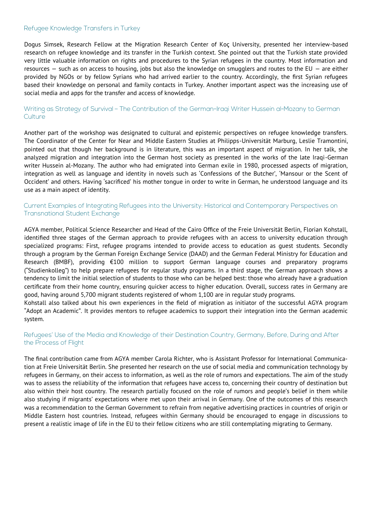## Refugee Knowledge Transfers in Turkey

Dogus Simsek, Research Fellow at the Migration Research Center of Koç University, presented her interview-based research on refugee knowledge and its transfer in the Turkish context. She pointed out that the Turkish state provided very little valuable information on rights and procedures to the Syrian refugees in the country. Most information and resources — such as on access to housing, jobs but also the knowledge on smugglers and routes to the EU — are either provided by NGOs or by fellow Syrians who had arrived earlier to the country. Accordingly, the first Syrian refugees based their knowledge on personal and family contacts in Turkey. Another important aspect was the increasing use of social media and apps for the transfer and access of knowledge.

## Writing as Strategy of Survival - The Contribution of the German-Iragi Writer Hussein al-Mozany to German Culture

Another part of the workshop was designated to cultural and epistemic perspectives on refugee knowledge transfers. The Coordinator of the Center for Near and Middle Eastern Studies at Philipps-Universität Marburg, Leslie Tramontini, pointed out that though her background is in literature, this was an important aspect of migration. In her talk, she analyzed migration and integration into the German host society as presented in the works of the late Iraqi-German writer Hussein al-Mozany. The author who had emigrated into German exile in 1980, processed aspects of migration, integration as well as language and identity in novels such as 'Confessions of the Butcher', 'Mansour or the Scent of Occident' and others. Having 'sacrificed' his mother tongue in order to write in German, he understood language and its use as a main aspect of identity.

## Current Examples of Integrating Refugees into the University: Historical and Contemporary Perspectives on **Transnational Student Exchange**

AGYA member, Political Science Researcher and Head of the Cairo Office of the Freie Universität Berlin, Florian Kohstall, identified three stages of the German approach to provide refugees with an access to university education through specialized programs: First, refugee programs intended to provide access to education as guest students. Secondly through a program by the German Foreign Exchange Service (DAAD) and the German Federal Ministry for Education and Research (BMBF), providing €100 million to support German language courses and preparatory programs ("Studienkolleg") to help prepare refugees for regular study programs. In a third stage, the German approach shows a tendency to limit the initial selection of students to those who can be helped best: those who already have a graduation certificate from their home country, ensuring quicker access to higher education. Overall, success rates in Germany are good, having around 5,700 migrant students registered of whom 1,100 are in regular study programs.

Kohstall also talked about his own experiences in the field of migration as initiator of the successful AGYA program "Adopt an Academic". It provides mentors to refugee academics to support their integration into the German academic system.

## Refugees' Use of the Media and Knowledge of their Destination Country, Germany, Before, During and After the Process of Flight

The final contribution came from AGYA member Carola Richter, who is Assistant Professor for International Communication at Freie Universität Berlin. She presented her research on the use of social media and communication technology by refugees in Germany, on their access to information, as well as the role of rumors and expectations. The aim of the study was to assess the reliability of the information that refugees have access to, concerning their country of destination but also within their host country. The research partially focused on the role of rumors and people's belief in them while also studying if migrants' expectations where met upon their arrival in Germany. One of the outcomes of this research was a recommendation to the German Government to refrain from negative advertising practices in countries of origin or Middle Eastern host countries. Instead, refugees within Germany should be encouraged to engage in discussions to present a realistic image of life in the EU to their fellow citizens who are still contemplating migrating to Germany.